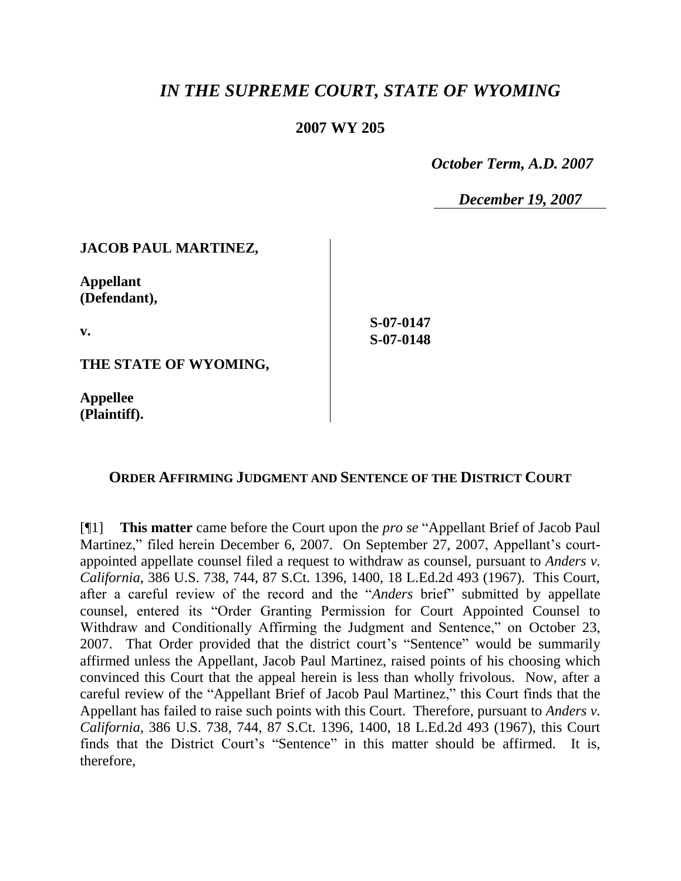# *IN THE SUPREME COURT, STATE OF WYOMING*

## **2007 WY 205**

 *October Term, A.D. 2007*

*December 19, 2007*

## **JACOB PAUL MARTINEZ,**

**Appellant (Defendant),**

**v.**

**S-07-0147 S-07-0148**

**THE STATE OF WYOMING,**

**Appellee (Plaintiff).**

#### **ORDER AFFIRMING JUDGMENT AND SENTENCE OF THE DISTRICT COURT**

[¶1] **This matter** came before the Court upon the *pro se* "Appellant Brief of Jacob Paul Martinez," filed herein December 6, 2007. On September 27, 2007, Appellant's courtappointed appellate counsel filed a request to withdraw as counsel, pursuant to *Anders v. California*, 386 U.S. 738, 744, 87 S.Ct. 1396, 1400, 18 L.Ed.2d 493 (1967). This Court, after a careful review of the record and the "*Anders* brief" submitted by appellate counsel, entered its "Order Granting Permission for Court Appointed Counsel to Withdraw and Conditionally Affirming the Judgment and Sentence," on October 23, 2007. That Order provided that the district court's "Sentence" would be summarily affirmed unless the Appellant, Jacob Paul Martinez, raised points of his choosing which convinced this Court that the appeal herein is less than wholly frivolous. Now, after a careful review of the "Appellant Brief of Jacob Paul Martinez," this Court finds that the Appellant has failed to raise such points with this Court. Therefore, pursuant to *Anders v. California*, 386 U.S. 738, 744, 87 S.Ct. 1396, 1400, 18 L.Ed.2d 493 (1967), this Court finds that the District Court's "Sentence" in this matter should be affirmed. It is, therefore,